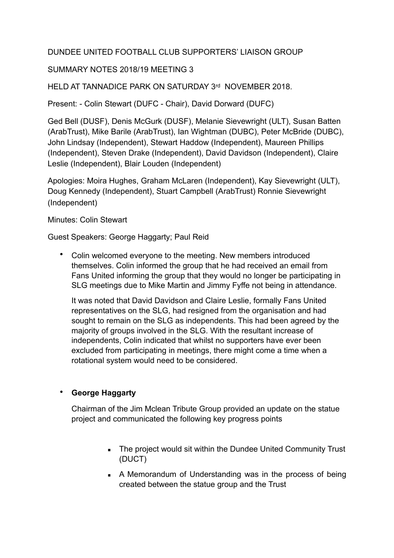## DUNDEE UNITED FOOTBALL CLUB SUPPORTERS' LIAISON GROUP

### SUMMARY NOTES 2018/19 MEETING 3

HELD AT TANNADICE PARK ON SATURDAY 3rd NOVEMBER 2018.

Present: - Colin Stewart (DUFC - Chair), David Dorward (DUFC)

Ged Bell (DUSF), Denis McGurk (DUSF), Melanie Sievewright (ULT), Susan Batten (ArabTrust), Mike Barile (ArabTrust), Ian Wightman (DUBC), Peter McBride (DUBC), John Lindsay (Independent), Stewart Haddow (Independent), Maureen Phillips (Independent), Steven Drake (Independent), David Davidson (Independent), Claire Leslie (Independent), Blair Louden (Independent)

Apologies: Moira Hughes, Graham McLaren (Independent), Kay Sievewright (ULT), Doug Kennedy (Independent), Stuart Campbell (ArabTrust) Ronnie Sievewright (Independent)

Minutes: Colin Stewart

Guest Speakers: George Haggarty; Paul Reid

• Colin welcomed everyone to the meeting. New members introduced themselves. Colin informed the group that he had received an email from Fans United informing the group that they would no longer be participating in SLG meetings due to Mike Martin and Jimmy Fyffe not being in attendance.

It was noted that David Davidson and Claire Leslie, formally Fans United representatives on the SLG, had resigned from the organisation and had sought to remain on the SLG as independents. This had been agreed by the majority of groups involved in the SLG. With the resultant increase of independents, Colin indicated that whilst no supporters have ever been excluded from participating in meetings, there might come a time when a rotational system would need to be considered.

### • **George Haggarty**

Chairman of the Jim Mclean Tribute Group provided an update on the statue project and communicated the following key progress points

- **EXECT** The project would sit within the Dundee United Community Trust (DUCT)
- A Memorandum of Understanding was in the process of being created between the statue group and the Trust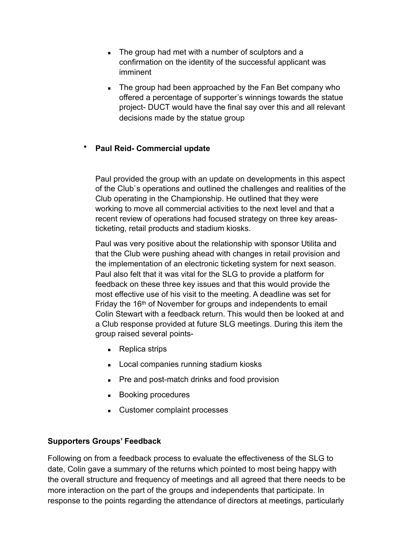- The group had met with a number of sculptors and a confirmation on the identity of the successful applicant was imminent
- **EXECT** The group had been approached by the Fan Bet company who offered a percentage of supporter's winnings towards the statue project- DUCT would have the final say over this and all relevant decisions made by the statue group

## • **Paul Reid- Commercial update**

Paul provided the group with an update on developments in this aspect of the Club`s operations and outlined the challenges and realities of the Club operating in the Championship. He outlined that they were working to move all commercial activities to the next level and that a recent review of operations had focused strategy on three key areasticketing, retail products and stadium kiosks.

Paul was very positive about the relationship with sponsor Utilita and that the Club were pushing ahead with changes in retail provision and the implementation of an electronic ticketing system for next season. Paul also felt that it was vital for the SLG to provide a platform for feedback on these three key issues and that this would provide the most effective use of his visit to the meeting. A deadline was set for Friday the 16<sup>th</sup> of November for groups and independents to email Colin Stewart with a feedback return. This would then be looked at and a Club response provided at future SLG meetings. During this item the group raised several points-

- Replica strips
- Local companies running stadium kiosks
- Pre and post-match drinks and food provision
- Booking procedures
- Customer complaint processes

### **Supporters Groups' Feedback**

Following on from a feedback process to evaluate the effectiveness of the SLG to date, Colin gave a summary of the returns which pointed to most being happy with the overall structure and frequency of meetings and all agreed that there needs to be more interaction on the part of the groups and independents that participate. In response to the points regarding the attendance of directors at meetings, particularly